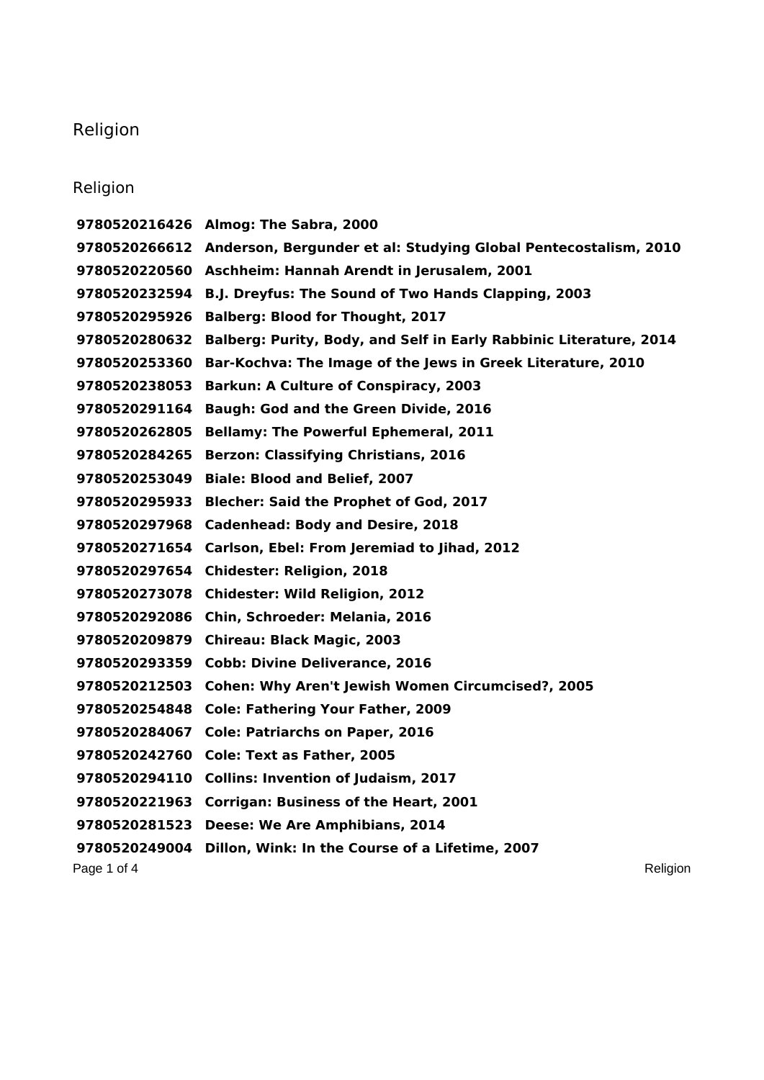## Religion

## Religion

Page 1 of 4 Religion **Almog: The Sabra, 2000 Anderson, Bergunder et al: Studying Global Pentecostalism, 2010 Aschheim: Hannah Arendt in Jerusalem, 2001 B.J. Dreyfus: The Sound of Two Hands Clapping, 2003 Balberg: Blood for Thought, 2017 Balberg: Purity, Body, and Self in Early Rabbinic Literature, 2014 Bar-Kochva: The Image of the Jews in Greek Literature, 2010 Barkun: A Culture of Conspiracy, 2003 Baugh: God and the Green Divide, 2016 Bellamy: The Powerful Ephemeral, 2011 Berzon: Classifying Christians, 2016 Biale: Blood and Belief, 2007 Blecher: Said the Prophet of God, 2017 Cadenhead: Body and Desire, 2018 Carlson, Ebel: From Jeremiad to Jihad, 2012 Chidester: Religion, 2018 Chidester: Wild Religion, 2012 Chin, Schroeder: Melania, 2016 Chireau: Black Magic, 2003 Cobb: Divine Deliverance, 2016 Cohen: Why Aren't Jewish Women Circumcised?, 2005 Cole: Fathering Your Father, 2009 Cole: Patriarchs on Paper, 2016 Cole: Text as Father, 2005 Collins: Invention of Judaism, 2017 Corrigan: Business of the Heart, 2001 Deese: We Are Amphibians, 2014 Dillon, Wink: In the Course of a Lifetime, 2007**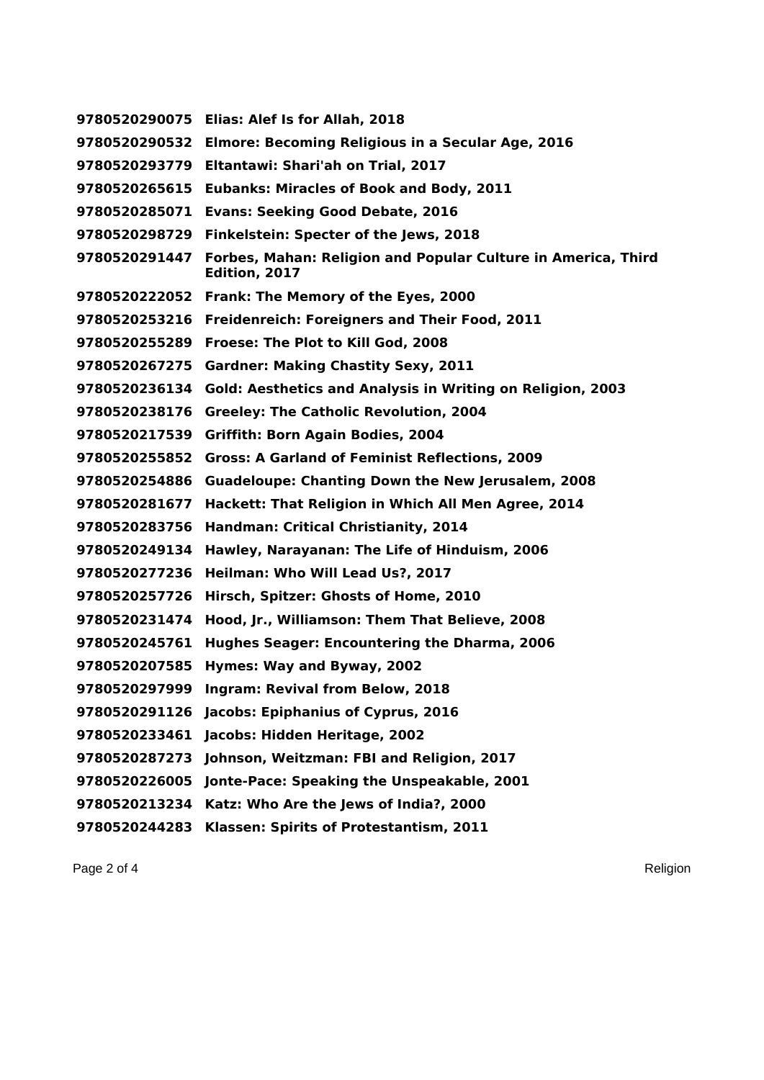**Elias: Alef Is for Allah, 2018 Elmore: Becoming Religious in a Secular Age, 2016 Eltantawi: Shari'ah on Trial, 2017 Eubanks: Miracles of Book and Body, 2011 Evans: Seeking Good Debate, 2016 Finkelstein: Specter of the Jews, 2018 Forbes, Mahan: Religion and Popular Culture in America, Third Edition, 2017 Frank: The Memory of the Eyes, 2000 Freidenreich: Foreigners and Their Food, 2011 Froese: The Plot to Kill God, 2008 Gardner: Making Chastity Sexy, 2011 Gold: Aesthetics and Analysis in Writing on Religion, 2003 Greeley: The Catholic Revolution, 2004 Griffith: Born Again Bodies, 2004 Gross: A Garland of Feminist Reflections, 2009 Guadeloupe: Chanting Down the New Jerusalem, 2008 Hackett: That Religion in Which All Men Agree, 2014 Handman: Critical Christianity, 2014 Hawley, Narayanan: The Life of Hinduism, 2006 Heilman: Who Will Lead Us?, 2017 Hirsch, Spitzer: Ghosts of Home, 2010 Hood, Jr., Williamson: Them That Believe, 2008 Hughes Seager: Encountering the Dharma, 2006 Hymes: Way and Byway, 2002 Ingram: Revival from Below, 2018 Jacobs: Epiphanius of Cyprus, 2016 Jacobs: Hidden Heritage, 2002 Johnson, Weitzman: FBI and Religion, 2017 Jonte-Pace: Speaking the Unspeakable, 2001 Katz: Who Are the Jews of India?, 2000 Klassen: Spirits of Protestantism, 2011**

Page 2 of 4 Religion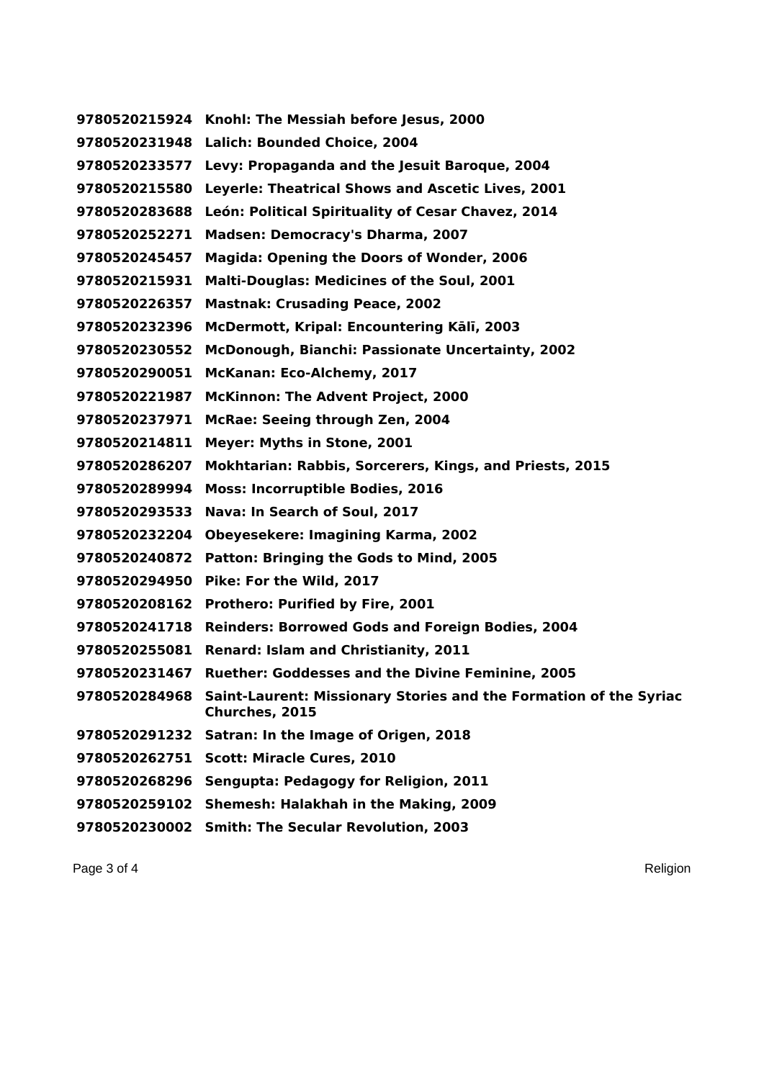**Knohl: The Messiah before Jesus, 2000 Lalich: Bounded Choice, 2004 Levy: Propaganda and the Jesuit Baroque, 2004 Leyerle: Theatrical Shows and Ascetic Lives, 2001 León: Political Spirituality of Cesar Chavez, 2014 Madsen: Democracy's Dharma, 2007 Magida: Opening the Doors of Wonder, 2006 Malti-Douglas: Medicines of the Soul, 2001 Mastnak: Crusading Peace, 2002 McDermott, Kripal: Encountering Kālī, 2003 McDonough, Bianchi: Passionate Uncertainty, 2002 McKanan: Eco-Alchemy, 2017 McKinnon: The Advent Project, 2000 McRae: Seeing through Zen, 2004 Meyer: Myths in Stone, 2001 Mokhtarian: Rabbis, Sorcerers, Kings, and Priests, 2015 Moss: Incorruptible Bodies, 2016 Nava: In Search of Soul, 2017 Obeyesekere: Imagining Karma, 2002 Patton: Bringing the Gods to Mind, 2005 Pike: For the Wild, 2017 Prothero: Purified by Fire, 2001 Reinders: Borrowed Gods and Foreign Bodies, 2004 Renard: Islam and Christianity, 2011 Ruether: Goddesses and the Divine Feminine, 2005 Saint-Laurent: Missionary Stories and the Formation of the Syriac Churches, 2015 Satran: In the Image of Origen, 2018 Scott: Miracle Cures, 2010 Sengupta: Pedagogy for Religion, 2011 Shemesh: Halakhah in the Making, 2009 Smith: The Secular Revolution, 2003**

Page 3 of 4 Religion